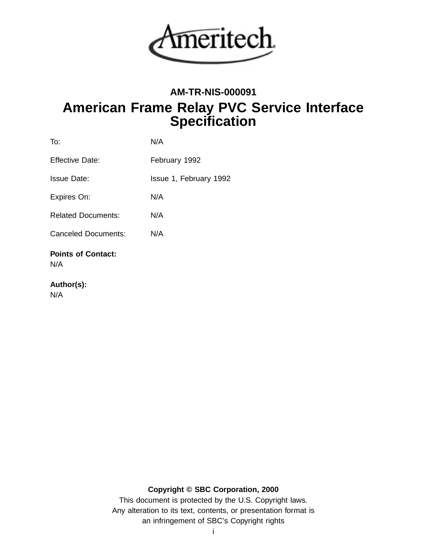

# **AM-TR-NIS-000091 American Frame Relay PVC Service Interface Specification**

| To:                              | N/A                    |
|----------------------------------|------------------------|
| Effective Date:                  | February 1992          |
| Issue Date:                      | Issue 1, February 1992 |
| Expires On:                      | N/A                    |
| <b>Related Documents:</b>        | N/A                    |
| <b>Canceled Documents:</b>       | N/A                    |
| <b>Points of Contact:</b><br>N/A |                        |

# **Author(s):**

N/A

**Copyright © SBC Corporation, 2000**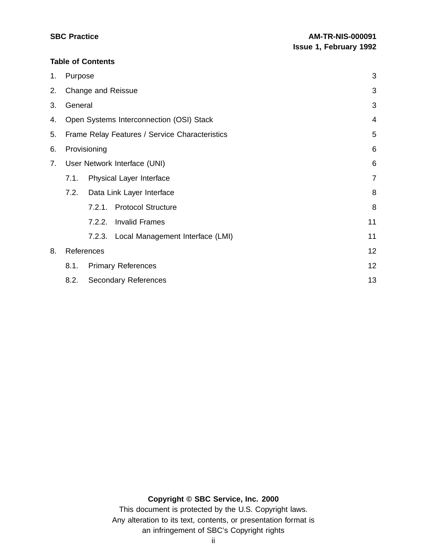## **Table of Contents**

| 1. | Purpose                                       |              |                                                |    |  |  |
|----|-----------------------------------------------|--------------|------------------------------------------------|----|--|--|
| 2. |                                               |              | Change and Reissue                             | 3  |  |  |
| 3. | General                                       |              |                                                |    |  |  |
| 4. | Open Systems Interconnection (OSI) Stack<br>4 |              |                                                |    |  |  |
| 5. |                                               |              | Frame Relay Features / Service Characteristics | 5  |  |  |
| 6. |                                               | Provisioning |                                                | 6  |  |  |
| 7. | User Network Interface (UNI)                  |              |                                                |    |  |  |
|    | 7.1.                                          |              | Physical Layer Interface                       | 7  |  |  |
|    | 7.2.                                          |              | Data Link Layer Interface                      | 8  |  |  |
|    |                                               |              | 7.2.1. Protocol Structure                      | 8  |  |  |
|    |                                               | 7.2.2.       | <b>Invalid Frames</b>                          | 11 |  |  |
|    |                                               |              | 7.2.3. Local Management Interface (LMI)        | 11 |  |  |
| 8. | References                                    |              |                                                |    |  |  |
|    | <b>Primary References</b><br>8.1.             |              |                                                |    |  |  |
|    | 8.2.<br><b>Secondary References</b>           |              |                                                |    |  |  |

# **Copyright © SBC Service, Inc. 2000**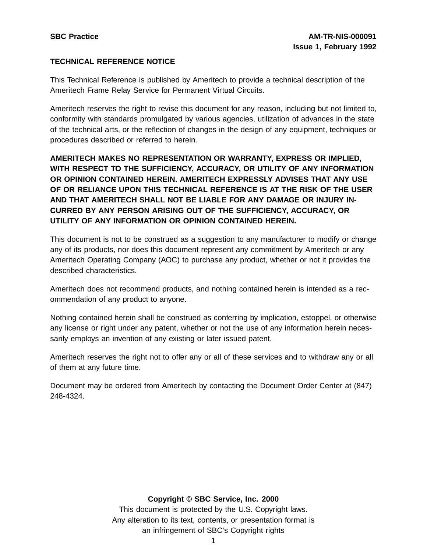# **TECHNICAL REFERENCE NOTICE**

This Technical Reference is published by Ameritech to provide a technical description of the Ameritech Frame Relay Service for Permanent Virtual Circuits.

Ameritech reserves the right to revise this document for any reason, including but not limited to, conformity with standards promulgated by various agencies, utilization of advances in the state of the technical arts, or the reflection of changes in the design of any equipment, techniques or procedures described or referred to herein.

**AMERITECH MAKES NO REPRESENTATION OR WARRANTY, EXPRESS OR IMPLIED, WITH RESPECT TO THE SUFFICIENCY, ACCURACY, OR UTILITY OF ANY INFORMATION OR OPINION CONTAINED HEREIN. AMERITECH EXPRESSLY ADVISES THAT ANY USE OF OR RELIANCE UPON THIS TECHNICAL REFERENCE IS AT THE RISK OF THE USER AND THAT AMERITECH SHALL NOT BE LIABLE FOR ANY DAMAGE OR INJURY IN-CURRED BY ANY PERSON ARISING OUT OF THE SUFFICIENCY, ACCURACY, OR UTILITY OF ANY INFORMATION OR OPINION CONTAINED HEREIN.**

This document is not to be construed as a suggestion to any manufacturer to modify or change any of its products, nor does this document represent any commitment by Ameritech or any Ameritech Operating Company (AOC) to purchase any product, whether or not it provides the described characteristics.

Ameritech does not recommend products, and nothing contained herein is intended as a recommendation of any product to anyone.

Nothing contained herein shall be construed as conferring by implication, estoppel, or otherwise any license or right under any patent, whether or not the use of any information herein necessarily employs an invention of any existing or later issued patent.

Ameritech reserves the right not to offer any or all of these services and to withdraw any or all of them at any future time.

Document may be ordered from Ameritech by contacting the Document Order Center at (847) 248-4324.

#### **Copyright © SBC Service, Inc. 2000**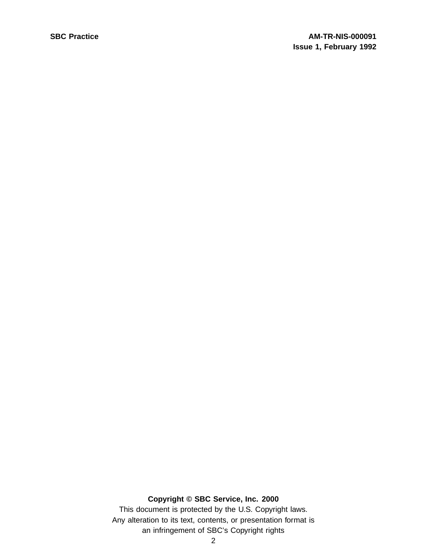# **Copyright © SBC Service, Inc. 2000**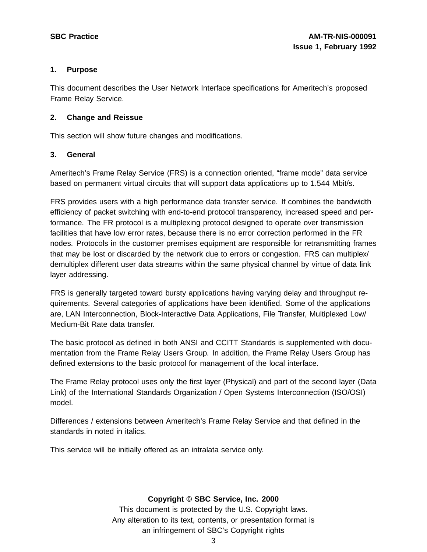## **1. Purpose**

This document describes the User Network Interface specifications for Ameritech's proposed Frame Relay Service.

# **2. Change and Reissue**

This section will show future changes and modifications.

# **3. General**

Ameritech's Frame Relay Service (FRS) is a connection oriented, "frame mode" data service based on permanent virtual circuits that will support data applications up to 1.544 Mbit/s.

FRS provides users with a high performance data transfer service. If combines the bandwidth efficiency of packet switching with end-to-end protocol transparency, increased speed and performance. The FR protocol is a multiplexing protocol designed to operate over transmission facilities that have low error rates, because there is no error correction performed in the FR nodes. Protocols in the customer premises equipment are responsible for retransmitting frames that may be lost or discarded by the network due to errors or congestion. FRS can multiplex/ demultiplex different user data streams within the same physical channel by virtue of data link layer addressing.

FRS is generally targeted toward bursty applications having varying delay and throughput requirements. Several categories of applications have been identified. Some of the applications are, LAN Interconnection, Block-Interactive Data Applications, File Transfer, Multiplexed Low/ Medium-Bit Rate data transfer.

The basic protocol as defined in both ANSI and CCITT Standards is supplemented with documentation from the Frame Relay Users Group. In addition, the Frame Relay Users Group has defined extensions to the basic protocol for management of the local interface.

The Frame Relay protocol uses only the first layer (Physical) and part of the second layer (Data Link) of the International Standards Organization / Open Systems Interconnection (ISO/OSI) model.

Differences / extensions between Ameritech's Frame Relay Service and that defined in the standards in noted in italics.

This service will be initially offered as an intralata service only.

## **Copyright © SBC Service, Inc. 2000**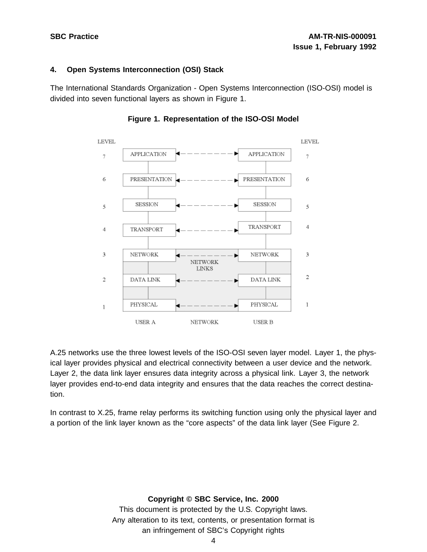## **4. Open Systems Interconnection (OSI) Stack**

The International Standards Organization - Open Systems Interconnection (ISO-OSI) model is divided into seven functional layers as shown in Figure 1.



# **Figure 1. Representation of the ISO-OSI Model**

A.25 networks use the three lowest levels of the ISO-OSI seven layer model. Layer 1, the physical layer provides physical and electrical connectivity between a user device and the network. Layer 2, the data link layer ensures data integrity across a physical link. Layer 3, the network layer provides end-to-end data integrity and ensures that the data reaches the correct destination.

In contrast to X.25, frame relay performs its switching function using only the physical layer and a portion of the link layer known as the "core aspects" of the data link layer (See Figure 2.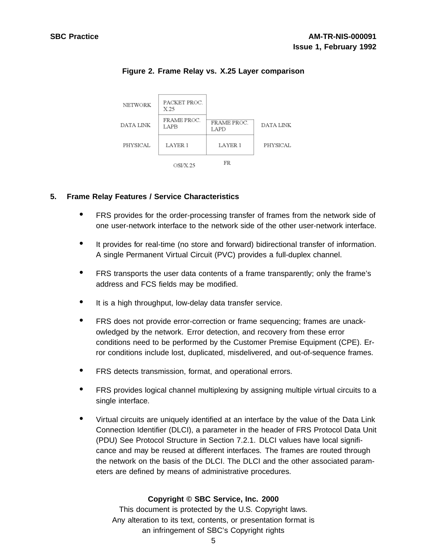

# **Figure 2. Frame Relay vs. X.25 Layer comparison**

## **5. Frame Relay Features / Service Characteristics**

- FRS provides for the order-processing transfer of frames from the network side of one user-network interface to the network side of the other user-network interface.
- It provides for real-time (no store and forward) bidirectional transfer of information. A single Permanent Virtual Circuit (PVC) provides a full-duplex channel.
- FRS transports the user data contents of <sup>a</sup> frame transparently; only the frame's address and FCS fields may be modified.
- It is <sup>a</sup> high throughput, low-delay data transfer service.
- FRS does not provide error-correction or frame sequencing; frames are unackowledged by the network. Error detection, and recovery from these error conditions need to be performed by the Customer Premise Equipment (CPE). Error conditions include lost, duplicated, misdelivered, and out-of-sequence frames.
- FRS detects transmission, format, and operational errors.
- FRS provides logical channel multiplexing by assigning multiple virtual circuits to <sup>a</sup> single interface.
- Virtual circuits are uniquely identified at an interface by the value of the Data Link Connection Identifier (DLCI), a parameter in the header of FRS Protocol Data Unit (PDU) See Protocol Structure in Section 7.2.1. DLCI values have local significance and may be reused at different interfaces. The frames are routed through the network on the basis of the DLCI. The DLCI and the other associated parameters are defined by means of administrative procedures.

# **Copyright © SBC Service, Inc. 2000**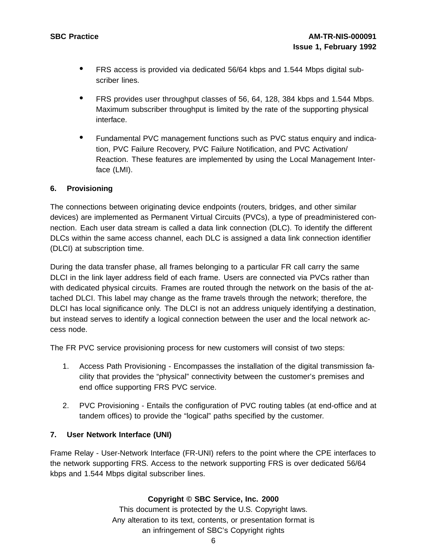- FRS access is provided via dedicated 56/64 kbps and 1.544 Mbps digital subscriber lines.
- FRS provides user throughput classes of 56, 64, 128, <sup>384</sup> kbps and 1.544 Mbps. Maximum subscriber throughput is limited by the rate of the supporting physical interface.
- Fundamental PVC management functions such as PVC status enquiry and indication, PVC Failure Recovery, PVC Failure Notification, and PVC Activation/ Reaction. These features are implemented by using the Local Management Interface (LMI).

# **6. Provisioning**

The connections between originating device endpoints (routers, bridges, and other similar devices) are implemented as Permanent Virtual Circuits (PVCs), a type of preadministered connection. Each user data stream is called a data link connection (DLC). To identify the different DLCs within the same access channel, each DLC is assigned a data link connection identifier (DLCI) at subscription time.

During the data transfer phase, all frames belonging to a particular FR call carry the same DLCI in the link layer address field of each frame. Users are connected via PVCs rather than with dedicated physical circuits. Frames are routed through the network on the basis of the attached DLCI. This label may change as the frame travels through the network; therefore, the DLCI has local significance only. The DLCI is not an address uniquely identifying a destination, but instead serves to identify a logical connection between the user and the local network access node.

The FR PVC service provisioning process for new customers will consist of two steps:

- 1. Access Path Provisioning Encompasses the installation of the digital transmission facility that provides the "physical" connectivity between the customer's premises and end office supporting FRS PVC service.
- 2. PVC Provisioning Entails the configuration of PVC routing tables (at end-office and at tandem offices) to provide the "logical" paths specified by the customer.

## **7. User Network Interface (UNI)**

Frame Relay - User-Network Interface (FR-UNI) refers to the point where the CPE interfaces to the network supporting FRS. Access to the network supporting FRS is over dedicated 56/64 kbps and 1.544 Mbps digital subscriber lines.

## **Copyright © SBC Service, Inc. 2000**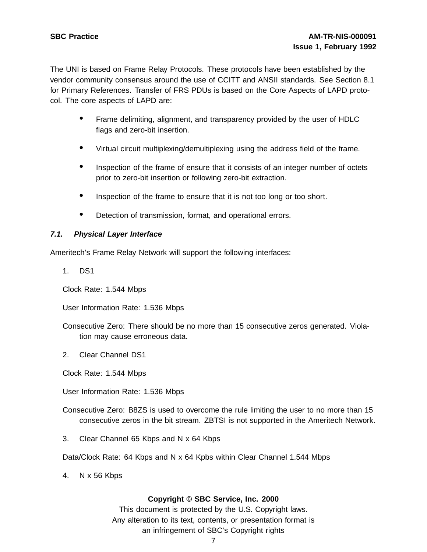The UNI is based on Frame Relay Protocols. These protocols have been established by the vendor community consensus around the use of CCITT and ANSII standards. See Section 8.1 for Primary References. Transfer of FRS PDUs is based on the Core Aspects of LAPD protocol. The core aspects of LAPD are:

- Frame delimiting, alignment, and transparency provided by the user of HDLC flags and zero-bit insertion.
- Virtual circuit multiplexing/demultiplexing using the address field of the frame.
- Inspection of the frame of ensure that it consists of an integer number of octets prior to zero-bit insertion or following zero-bit extraction.
- Inspection of the frame to ensure that it is not too long or too short.
- Detection of transmission, format, and operational errors.

## **7.1. Physical Layer Interface**

Ameritech's Frame Relay Network will support the following interfaces:

1. DS1

Clock Rate: 1.544 Mbps

User Information Rate: 1.536 Mbps

- Consecutive Zero: There should be no more than 15 consecutive zeros generated. Violation may cause erroneous data.
- 2. Clear Channel DS1

Clock Rate: 1.544 Mbps

- User Information Rate: 1.536 Mbps
- Consecutive Zero: B8ZS is used to overcome the rule limiting the user to no more than 15 consecutive zeros in the bit stream. ZBTSI is not supported in the Ameritech Network.
- 3. Clear Channel 65 Kbps and N x 64 Kbps
- Data/Clock Rate: 64 Kbps and N x 64 Kpbs within Clear Channel 1.544 Mbps
- 4. N x 56 Kbps

## **Copyright © SBC Service, Inc. 2000**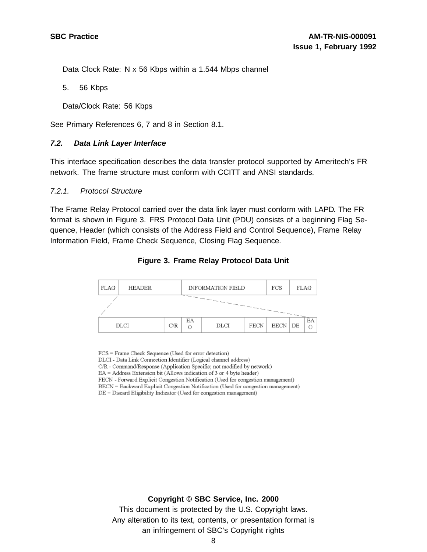Data Clock Rate: N x 56 Kbps within a 1.544 Mbps channel

5. 56 Kbps

Data/Clock Rate: 56 Kbps

See Primary References 6, 7 and 8 in Section 8.1.

#### **7.2. Data Link Layer Interface**

This interface specification describes the data transfer protocol supported by Ameritech's FR network. The frame structure must conform with CCITT and ANSI standards.

#### 7.2.1. Protocol Structure

The Frame Relay Protocol carried over the data link layer must conform with LAPD. The FR format is shown in Figure 3. FRS Protocol Data Unit (PDU) consists of a beginning Flag Sequence, Header (which consists of the Address Field and Control Sequence), Frame Relay Information Field, Frame Check Sequence, Closing Flag Sequence.



#### **Figure 3. Frame Relay Protocol Data Unit**

FCS = Frame Check Sequence (Used for error detection) DLCI - Data Link Connection Identifier (Logical channel address) C/R - Command/Response (Application Specific; not modified by network)  $EA = Address Extension bit (Allows indication of 3 or 4 byte header)$ FECN - Forward Explicit Congestion Notification (Used for congestion management) BECN = Backward Explicit Congestion Notification (Used for congestion management) DE = Discard Eligibility Indicator (Used for congestion management)

#### **Copyright © SBC Service, Inc. 2000**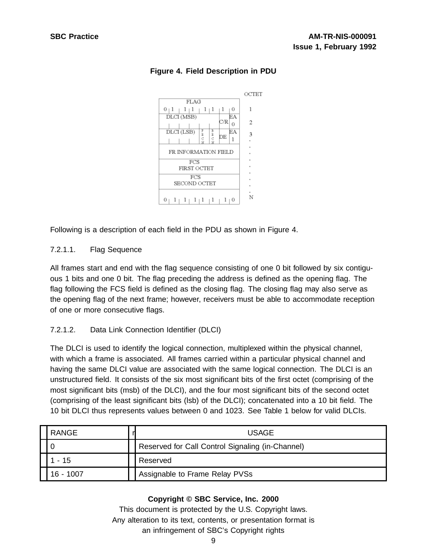

# **Figure 4. Field Description in PDU**

Following is a description of each field in the PDU as shown in Figure 4.

# 7.2.1.1. Flag Sequence

All frames start and end with the flag sequence consisting of one 0 bit followed by six contiguous 1 bits and one 0 bit. The flag preceding the address is defined as the opening flag. The flag following the FCS field is defined as the closing flag. The closing flag may also serve as the opening flag of the next frame; however, receivers must be able to accommodate reception of one or more consecutive flags.

# 7.2.1.2. Data Link Connection Identifier (DLCI)

The DLCI is used to identify the logical connection, multiplexed within the physical channel, with which a frame is associated. All frames carried within a particular physical channel and having the same DLCI value are associated with the same logical connection. The DLCI is an unstructured field. It consists of the six most significant bits of the first octet (comprising of the most significant bits (msb) of the DLCI), and the four most significant bits of the second octet (comprising of the least significant bits (lsb) of the DLCI); concatenated into a 10 bit field. The 10 bit DLCI thus represents values between 0 and 1023. See Table 1 below for valid DLCIs.

| <b>RANGE</b> | <b>USAGE</b>                                     |
|--------------|--------------------------------------------------|
|              | Reserved for Call Control Signaling (in-Channel) |
| 15           | Reserved                                         |
| 16 - 1007    | Assignable to Frame Relay PVSs                   |

# **Copyright © SBC Service, Inc. 2000**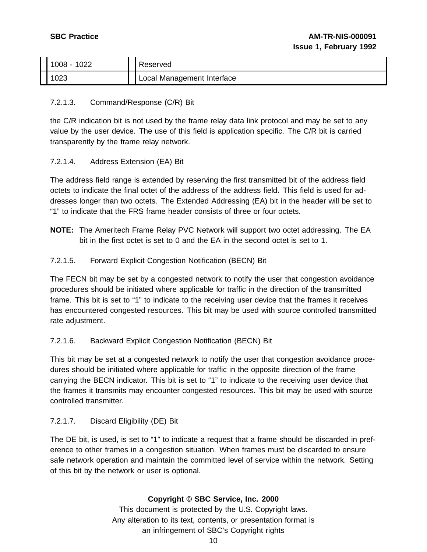| 1008 -<br>1022 | Reserved                     |
|----------------|------------------------------|
| 1023           | ' Local Management Interface |

# 7.2.1.3. Command/Response (C/R) Bit

the C/R indication bit is not used by the frame relay data link protocol and may be set to any value by the user device. The use of this field is application specific. The C/R bit is carried transparently by the frame relay network.

# 7.2.1.4. Address Extension (EA) Bit

The address field range is extended by reserving the first transmitted bit of the address field octets to indicate the final octet of the address of the address field. This field is used for addresses longer than two octets. The Extended Addressing (EA) bit in the header will be set to "1" to indicate that the FRS frame header consists of three or four octets.

**NOTE:** The Ameritech Frame Relay PVC Network will support two octet addressing. The EA bit in the first octet is set to 0 and the EA in the second octet is set to 1.

# 7.2.1.5. Forward Explicit Congestion Notification (BECN) Bit

The FECN bit may be set by a congested network to notify the user that congestion avoidance procedures should be initiated where applicable for traffic in the direction of the transmitted frame. This bit is set to "1" to indicate to the receiving user device that the frames it receives has encountered congested resources. This bit may be used with source controlled transmitted rate adjustment.

# 7.2.1.6. Backward Explicit Congestion Notification (BECN) Bit

This bit may be set at a congested network to notify the user that congestion avoidance procedures should be initiated where applicable for traffic in the opposite direction of the frame carrying the BECN indicator. This bit is set to "1" to indicate to the receiving user device that the frames it transmits may encounter congested resources. This bit may be used with source controlled transmitter.

# 7.2.1.7. Discard Eligibility (DE) Bit

The DE bit, is used, is set to "1" to indicate a request that a frame should be discarded in preference to other frames in a congestion situation. When frames must be discarded to ensure safe network operation and maintain the committed level of service within the network. Setting of this bit by the network or user is optional.

# **Copyright © SBC Service, Inc. 2000**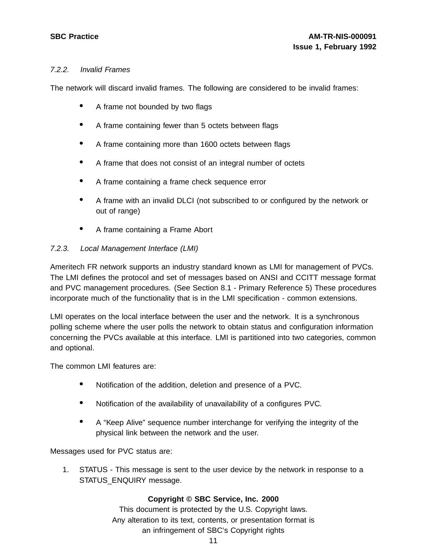# 7.2.2. Invalid Frames

The network will discard invalid frames. The following are considered to be invalid frames:

- A frame not bounded by two flags
- <sup>A</sup> frame containing fewer than <sup>5</sup> octets between flags
- <sup>A</sup> frame containing more than <sup>1600</sup> octets between flags
- <sup>A</sup> frame that does not consist of an integral number of octets
- <sup>A</sup> frame containing <sup>a</sup> frame check sequence error
- <sup>A</sup> frame with an invalid DLCI (not subscribed to or configured by the network or out of range)
- <sup>A</sup> frame containing <sup>a</sup> Frame Abort

# 7.2.3. Local Management Interface (LMI)

Ameritech FR network supports an industry standard known as LMI for management of PVCs. The LMI defines the protocol and set of messages based on ANSI and CCITT message format and PVC management procedures. (See Section 8.1 - Primary Reference 5) These procedures incorporate much of the functionality that is in the LMI specification - common extensions.

LMI operates on the local interface between the user and the network. It is a synchronous polling scheme where the user polls the network to obtain status and configuration information concerning the PVCs available at this interface. LMI is partitioned into two categories, common and optional.

The common LMI features are:

- Notification of the addition, deletion and presence of <sup>a</sup> PVC.
- Notification of the availability of unavailability of <sup>a</sup> configures PVC.
- <sup>A</sup> "Keep Alive" sequence number interchange for verifying the integrity of the physical link between the network and the user.

Messages used for PVC status are:

1. STATUS - This message is sent to the user device by the network in response to a STATUS\_ENQUIRY message.

## **Copyright © SBC Service, Inc. 2000**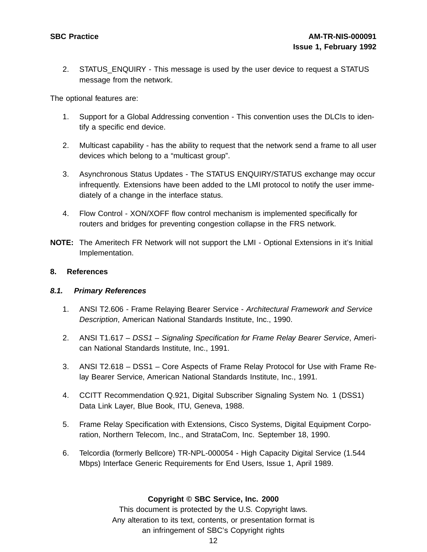2. STATUS ENQUIRY - This message is used by the user device to request a STATUS message from the network.

The optional features are:

- 1. Support for a Global Addressing convention This convention uses the DLCIs to identify a specific end device.
- 2. Multicast capability has the ability to request that the network send a frame to all user devices which belong to a "multicast group".
- 3. Asynchronous Status Updates The STATUS ENQUIRY/STATUS exchange may occur infrequently. Extensions have been added to the LMI protocol to notify the user immediately of a change in the interface status.
- 4. Flow Control XON/XOFF flow control mechanism is implemented specifically for routers and bridges for preventing congestion collapse in the FRS network.
- **NOTE:** The Ameritech FR Network will not support the LMI Optional Extensions in it's Initial Implementation.

#### **8. References**

## **8.1. Primary References**

- 1. ANSI T2.606 Frame Relaying Bearer Service Architectural Framework and Service Description, American National Standards Institute, Inc., 1990.
- 2. ANSI T1.617 DSS1 Signaling Specification for Frame Relay Bearer Service, American National Standards Institute, Inc., 1991.
- 3. ANSI T2.618 DSS1 Core Aspects of Frame Relay Protocol for Use with Frame Relay Bearer Service, American National Standards Institute, Inc., 1991.
- 4. CCITT Recommendation Q.921, Digital Subscriber Signaling System No. 1 (DSS1) Data Link Layer, Blue Book, ITU, Geneva, 1988.
- 5. Frame Relay Specification with Extensions, Cisco Systems, Digital Equipment Corporation, Northern Telecom, Inc., and StrataCom, Inc. September 18, 1990.
- 6. Telcordia (formerly Bellcore) TR-NPL-000054 High Capacity Digital Service (1.544 Mbps) Interface Generic Requirements for End Users, Issue 1, April 1989.

## **Copyright © SBC Service, Inc. 2000**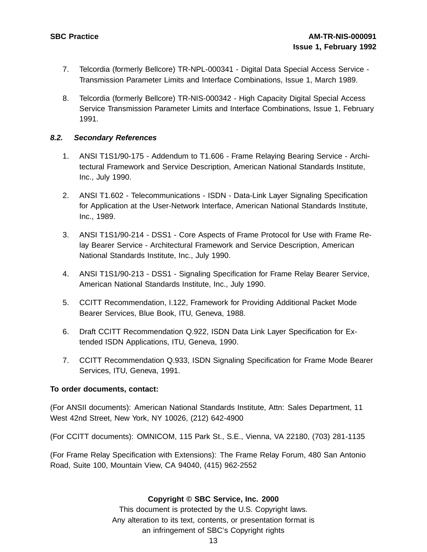- 7. Telcordia (formerly Bellcore) TR-NPL-000341 Digital Data Special Access Service Transmission Parameter Limits and Interface Combinations, Issue 1, March 1989.
- 8. Telcordia (formerly Bellcore) TR-NIS-000342 High Capacity Digital Special Access Service Transmission Parameter Limits and Interface Combinations, Issue 1, February 1991.

## **8.2. Secondary References**

- 1. ANSI T1S1/90-175 Addendum to T1.606 Frame Relaying Bearing Service Architectural Framework and Service Description, American National Standards Institute, Inc., July 1990.
- 2. ANSI T1.602 Telecommunications ISDN Data-Link Layer Signaling Specification for Application at the User-Network Interface, American National Standards Institute, Inc., 1989.
- 3. ANSI T1S1/90-214 DSS1 Core Aspects of Frame Protocol for Use with Frame Relay Bearer Service - Architectural Framework and Service Description, American National Standards Institute, Inc., July 1990.
- 4. ANSI T1S1/90-213 DSS1 Signaling Specification for Frame Relay Bearer Service, American National Standards Institute, Inc., July 1990.
- 5. CCITT Recommendation, I.122, Framework for Providing Additional Packet Mode Bearer Services, Blue Book, ITU, Geneva, 1988.
- 6. Draft CCITT Recommendation Q.922, ISDN Data Link Layer Specification for Extended ISDN Applications, ITU, Geneva, 1990.
- 7. CCITT Recommendation Q.933, ISDN Signaling Specification for Frame Mode Bearer Services, ITU, Geneva, 1991.

## **To order documents, contact:**

(For ANSII documents): American National Standards Institute, Attn: Sales Department, 11 West 42nd Street, New York, NY 10026, (212) 642-4900

(For CCITT documents): OMNICOM, 115 Park St., S.E., Vienna, VA 22180, (703) 281-1135

(For Frame Relay Specification with Extensions): The Frame Relay Forum, 480 San Antonio Road, Suite 100, Mountain View, CA 94040, (415) 962-2552

## **Copyright © SBC Service, Inc. 2000**